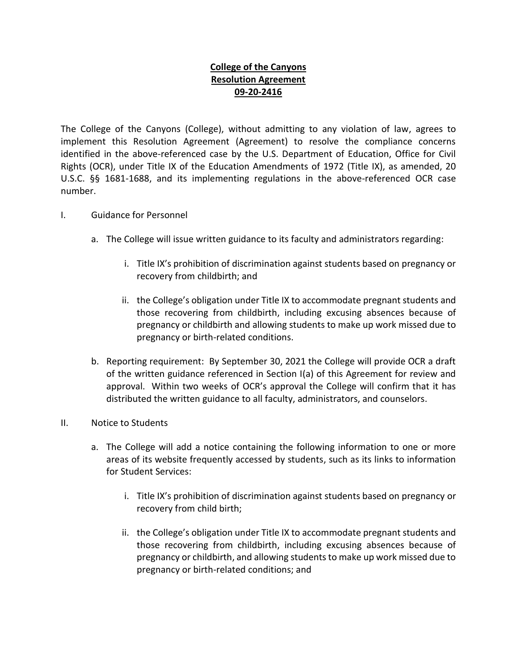## **College of the Canyons Resolution Agreement 09-20-2416**

The College of the Canyons (College), without admitting to any violation of law, agrees to implement this Resolution Agreement (Agreement) to resolve the compliance concerns identified in the above-referenced case by the U.S. Department of Education, Office for Civil Rights (OCR), under Title IX of the Education Amendments of 1972 (Title IX), as amended, 20 U.S.C. §§ 1681-1688, and its implementing regulations in the above-referenced OCR case number.

- I. Guidance for Personnel
	- a. The College will issue written guidance to its faculty and administrators regarding:
		- i. Title IX's prohibition of discrimination against students based on pregnancy or recovery from childbirth; and
		- ii. the College's obligation under Title IX to accommodate pregnant students and those recovering from childbirth, including excusing absences because of pregnancy or childbirth and allowing students to make up work missed due to pregnancy or birth-related conditions.
	- b. Reporting requirement: By September 30, 2021 the College will provide OCR a draft of the written guidance referenced in Section I(a) of this Agreement for review and approval. Within two weeks of OCR's approval the College will confirm that it has distributed the written guidance to all faculty, administrators, and counselors.
- II. Notice to Students
	- a. The College will add a notice containing the following information to one or more areas of its website frequently accessed by students, such as its links to information for Student Services:
		- i. Title IX's prohibition of discrimination against students based on pregnancy or recovery from child birth;
		- ii. the College's obligation under Title IX to accommodate pregnant students and those recovering from childbirth, including excusing absences because of pregnancy or childbirth, and allowing students to make up work missed due to pregnancy or birth-related conditions; and